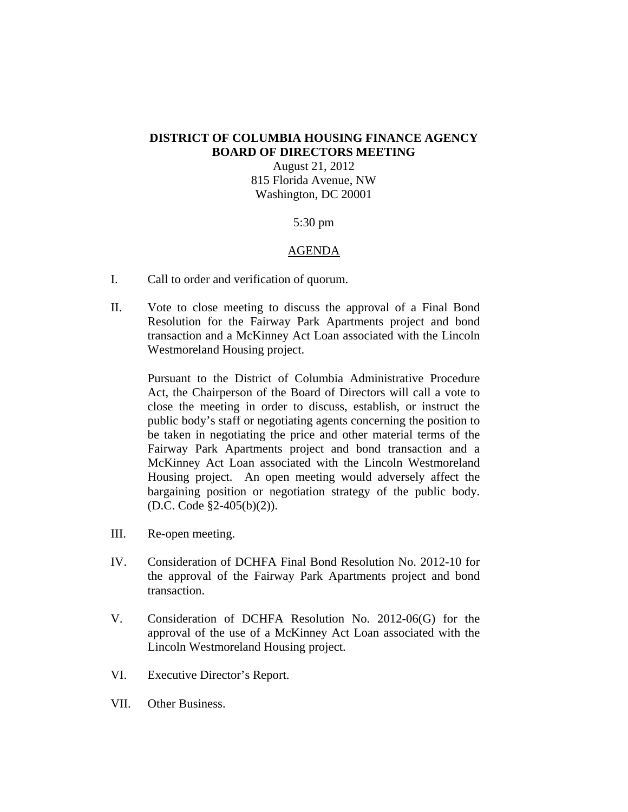## **DISTRICT OF COLUMBIA HOUSING FINANCE AGENCY BOARD OF DIRECTORS MEETING**

August 21, 2012 815 Florida Avenue, NW Washington, DC 20001

## 5:30 pm

## AGENDA

- I. Call to order and verification of quorum.
- II. Vote to close meeting to discuss the approval of a Final Bond Resolution for the Fairway Park Apartments project and bond transaction and a McKinney Act Loan associated with the Lincoln Westmoreland Housing project.

Pursuant to the District of Columbia Administrative Procedure Act, the Chairperson of the Board of Directors will call a vote to close the meeting in order to discuss, establish, or instruct the public body's staff or negotiating agents concerning the position to be taken in negotiating the price and other material terms of the Fairway Park Apartments project and bond transaction and a McKinney Act Loan associated with the Lincoln Westmoreland Housing project. An open meeting would adversely affect the bargaining position or negotiation strategy of the public body. (D.C. Code §2-405(b)(2)).

- III. Re-open meeting.
- IV. Consideration of DCHFA Final Bond Resolution No. 2012-10 for the approval of the Fairway Park Apartments project and bond transaction.
- V. Consideration of DCHFA Resolution No. 2012-06(G) for the approval of the use of a McKinney Act Loan associated with the Lincoln Westmoreland Housing project.
- VI. Executive Director's Report.
- VII. Other Business.